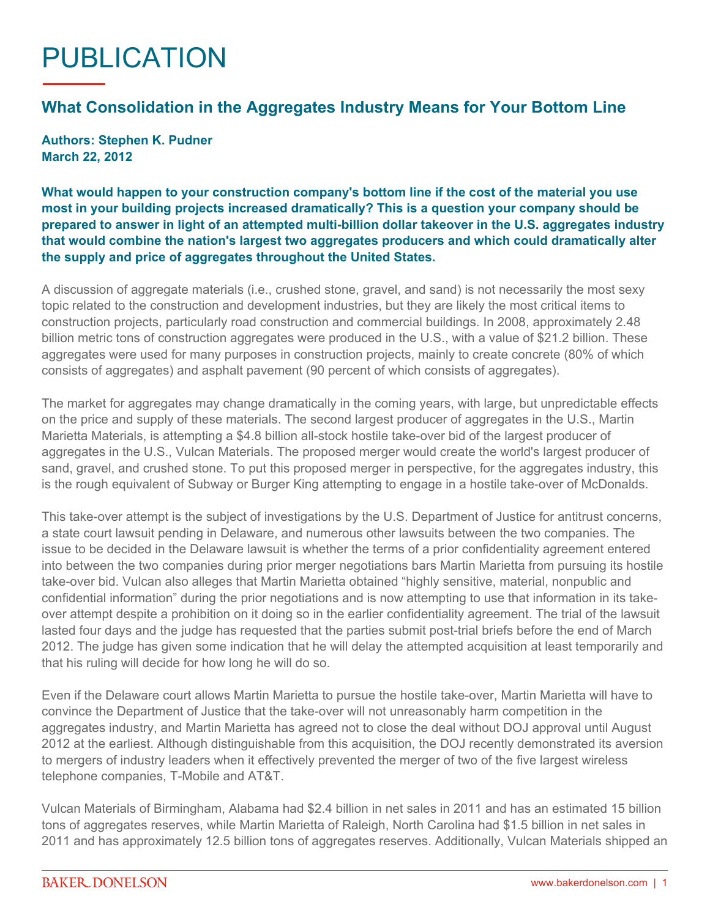## PUBLICATION

## **What Consolidation in the Aggregates Industry Means for Your Bottom Line**

**Authors: Stephen K. Pudner March 22, 2012**

**What would happen to your construction company's bottom line if the cost of the material you use most in your building projects increased dramatically? This is a question your company should be prepared to answer in light of an attempted multi-billion dollar takeover in the U.S. aggregates industry that would combine the nation's largest two aggregates producers and which could dramatically alter the supply and price of aggregates throughout the United States.**

A discussion of aggregate materials (i.e., crushed stone, gravel, and sand) is not necessarily the most sexy topic related to the construction and development industries, but they are likely the most critical items to construction projects, particularly road construction and commercial buildings. In 2008, approximately 2.48 billion metric tons of construction aggregates were produced in the U.S., with a value of \$21.2 billion. These aggregates were used for many purposes in construction projects, mainly to create concrete (80% of which consists of aggregates) and asphalt pavement (90 percent of which consists of aggregates).

The market for aggregates may change dramatically in the coming years, with large, but unpredictable effects on the price and supply of these materials. The second largest producer of aggregates in the U.S., Martin Marietta Materials, is attempting a \$4.8 billion all-stock hostile take-over bid of the largest producer of aggregates in the U.S., Vulcan Materials. The proposed merger would create the world's largest producer of sand, gravel, and crushed stone. To put this proposed merger in perspective, for the aggregates industry, this is the rough equivalent of Subway or Burger King attempting to engage in a hostile take-over of McDonalds.

This take-over attempt is the subject of investigations by the U.S. Department of Justice for antitrust concerns, a state court lawsuit pending in Delaware, and numerous other lawsuits between the two companies. The issue to be decided in the Delaware lawsuit is whether the terms of a prior confidentiality agreement entered into between the two companies during prior merger negotiations bars Martin Marietta from pursuing its hostile take-over bid. Vulcan also alleges that Martin Marietta obtained "highly sensitive, material, nonpublic and confidential information" during the prior negotiations and is now attempting to use that information in its takeover attempt despite a prohibition on it doing so in the earlier confidentiality agreement. The trial of the lawsuit lasted four days and the judge has requested that the parties submit post-trial briefs before the end of March 2012. The judge has given some indication that he will delay the attempted acquisition at least temporarily and that his ruling will decide for how long he will do so.

Even if the Delaware court allows Martin Marietta to pursue the hostile take-over, Martin Marietta will have to convince the Department of Justice that the take-over will not unreasonably harm competition in the aggregates industry, and Martin Marietta has agreed not to close the deal without DOJ approval until August 2012 at the earliest. Although distinguishable from this acquisition, the DOJ recently demonstrated its aversion to mergers of industry leaders when it effectively prevented the merger of two of the five largest wireless telephone companies, T-Mobile and AT&T.

Vulcan Materials of Birmingham, Alabama had \$2.4 billion in net sales in 2011 and has an estimated 15 billion tons of aggregates reserves, while Martin Marietta of Raleigh, North Carolina had \$1.5 billion in net sales in 2011 and has approximately 12.5 billion tons of aggregates reserves. Additionally, Vulcan Materials shipped an